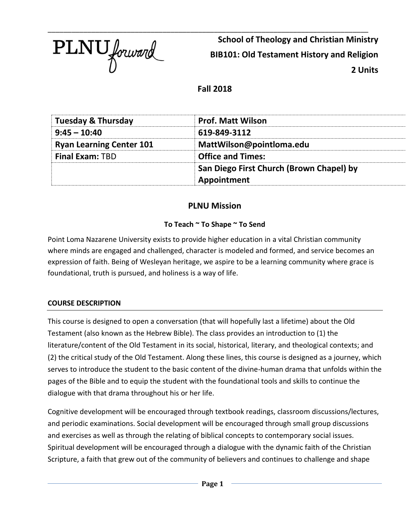

\_\_\_\_\_\_\_\_\_\_\_\_\_\_\_\_\_\_\_\_\_\_\_\_\_\_\_\_\_\_\_\_\_\_\_\_\_\_\_\_\_\_\_\_\_\_\_\_\_\_\_\_\_\_\_\_\_\_\_\_\_\_\_\_\_\_\_\_\_\_\_\_\_\_\_\_\_\_\_\_\_ **School of Theology and Christian Ministry BIB101: Old Testament History and Religion 2 Units**

**Fall 2018**

| <b>Tuesday &amp; Thursday</b>   | <b>Prof. Matt Wilson</b>                 |
|---------------------------------|------------------------------------------|
| $9:45 - 10:40$                  | 619-849-3112                             |
| <b>Ryan Learning Center 101</b> | MattWilson@pointloma.edu                 |
| <b>Final Exam: TBD</b>          | <b>Office and Times:</b>                 |
|                                 | San Diego First Church (Brown Chapel) by |
|                                 | Appointment                              |

# **PLNU Mission**

# **To Teach ~ To Shape ~ To Send**

Point Loma Nazarene University exists to provide higher education in a vital Christian community where minds are engaged and challenged, character is modeled and formed, and service becomes an expression of faith. Being of Wesleyan heritage, we aspire to be a learning community where grace is foundational, truth is pursued, and holiness is a way of life.

## **COURSE DESCRIPTION**

This course is designed to open a conversation (that will hopefully last a lifetime) about the Old Testament (also known as the Hebrew Bible). The class provides an introduction to (1) the literature/content of the Old Testament in its social, historical, literary, and theological contexts; and (2) the critical study of the Old Testament. Along these lines, this course is designed as a journey, which serves to introduce the student to the basic content of the divine-human drama that unfolds within the pages of the Bible and to equip the student with the foundational tools and skills to continue the dialogue with that drama throughout his or her life.

Cognitive development will be encouraged through textbook readings, classroom discussions/lectures, and periodic examinations. Social development will be encouraged through small group discussions and exercises as well as through the relating of biblical concepts to contemporary social issues. Spiritual development will be encouraged through a dialogue with the dynamic faith of the Christian Scripture, a faith that grew out of the community of believers and continues to challenge and shape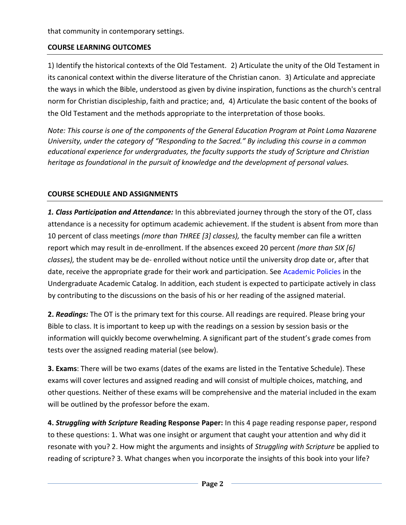that community in contemporary settings.

## **COURSE LEARNING OUTCOMES**

1) Identify the historical contexts of the Old Testament. 2) Articulate the unity of the Old Testament in its canonical context within the diverse literature of the Christian canon. 3) Articulate and appreciate the ways in which the Bible, understood as given by divine inspiration, functions as the church's central norm for Christian discipleship, faith and practice; and, 4) Articulate the basic content of the books of the Old Testament and the methods appropriate to the interpretation of those books.

*Note: This course is one of the components of the General Education Program at Point Loma Nazarene University, under the category of "Responding to the Sacred." By including this course in a common educational experience for undergraduates, the faculty supports the study of Scripture and Christian heritage as foundational in the pursuit of knowledge and the development of personal values.* 

# **COURSE SCHEDULE AND ASSIGNMENTS**

*1. Class Participation and Attendance:* In this abbreviated journey through the story of the OT, class attendance is a necessity for optimum academic achievement. If the student is absent from more than 10 percent of class meetings *(more than THREE [3] classes),* the faculty member can file a written report which may result in de-enrollment. If the absences exceed 20 percent *(more than SIX [6] classes),* the student may be de- enrolled without notice until the university drop date or, after that date, receive the appropriate grade for their work and participation. See Academic Policies in the Undergraduate Academic Catalog. In addition, each student is expected to participate actively in class by contributing to the discussions on the basis of his or her reading of the assigned material.

**2.** *Readings:* The OT is the primary text for this course. All readings are required. Please bring your Bible to class. It is important to keep up with the readings on a session by session basis or the information will quickly become overwhelming. A significant part of the student's grade comes from tests over the assigned reading material (see below).

**3. Exams**: There will be two exams (dates of the exams are listed in the Tentative Schedule). These exams will cover lectures and assigned reading and will consist of multiple choices, matching, and other questions. Neither of these exams will be comprehensive and the material included in the exam will be outlined by the professor before the exam.

**4.** *Struggling with Scripture* **Reading Response Paper:** In this 4 page reading response paper, respond to these questions: 1. What was one insight or argument that caught your attention and why did it resonate with you? 2. How might the arguments and insights of *Struggling with Scripture* be applied to reading of scripture? 3. What changes when you incorporate the insights of this book into your life?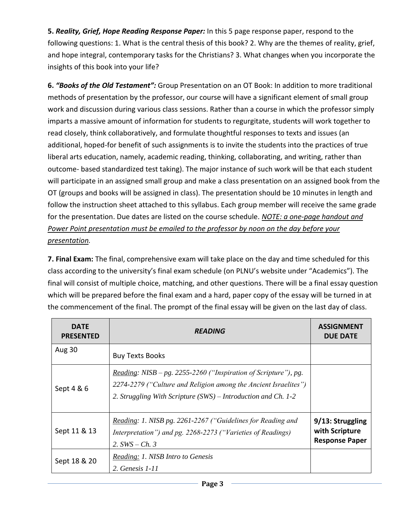**5.** *Reality, Grief, Hope Reading Response Paper:* In this 5 page response paper, respond to the following questions: 1. What is the central thesis of this book? 2. Why are the themes of reality, grief, and hope integral, contemporary tasks for the Christians? 3. What changes when you incorporate the insights of this book into your life?

**6.** *"Books of the Old Testament":* Group Presentation on an OT Book: In addition to more traditional methods of presentation by the professor, our course will have a significant element of small group work and discussion during various class sessions. Rather than a course in which the professor simply imparts a massive amount of information for students to regurgitate, students will work together to read closely, think collaboratively, and formulate thoughtful responses to texts and issues (an additional, hoped-for benefit of such assignments is to invite the students into the practices of true liberal arts education, namely, academic reading, thinking, collaborating, and writing, rather than outcome- based standardized test taking). The major instance of such work will be that each student will participate in an assigned small group and make a class presentation on an assigned book from the OT (groups and books will be assigned in class). The presentation should be 10 minutes in length and follow the instruction sheet attached to this syllabus. Each group member will receive the same grade for the presentation. Due dates are listed on the course schedule. *NOTE: a one-page handout and Power Point presentation must be emailed to the professor by noon on the day before your presentation.*

**7. Final Exam:** The final, comprehensive exam will take place on the day and time scheduled for this class according to the university's final exam schedule (on PLNU's website under "Academics"). The final will consist of multiple choice, matching, and other questions. There will be a final essay question which will be prepared before the final exam and a hard, paper copy of the essay will be turned in at the commencement of the final. The prompt of the final essay will be given on the last day of class.

| <b>DATE</b><br><b>PRESENTED</b> | <b>READING</b>                                                                                                                                                                                             | <b>ASSIGNMENT</b><br><b>DUE DATE</b>                        |
|---------------------------------|------------------------------------------------------------------------------------------------------------------------------------------------------------------------------------------------------------|-------------------------------------------------------------|
| <b>Aug 30</b>                   | <b>Buy Texts Books</b>                                                                                                                                                                                     |                                                             |
| Sept $4 & 6$                    | <i>Reading: NISB – pg. 2255-2260 ("Inspiration of Scripture"), pg.</i><br>2274-2279 ("Culture and Religion among the Ancient Israelites")<br>2. Struggling With Scripture (SWS) – Introduction and Ch. 1-2 |                                                             |
| Sept 11 & 13                    | Reading: 1. NISB pg. 2261-2267 ("Guidelines for Reading and<br>Interpretation") and pg. 2268-2273 ("Varieties of Readings)<br>2. $SWS - Ch. 3$                                                             | 9/13: Struggling<br>with Scripture<br><b>Response Paper</b> |
| Sept 18 & 20                    | Reading: 1. NISB Intro to Genesis<br>2. Genesis 1-11                                                                                                                                                       |                                                             |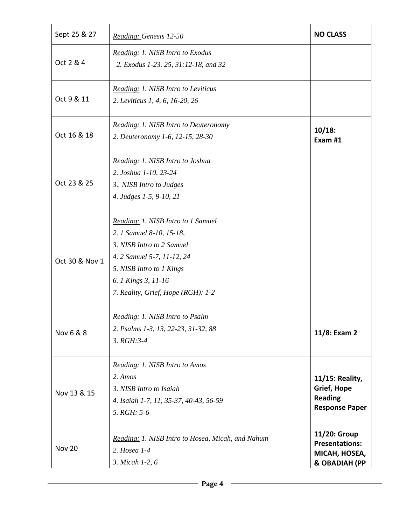| Sept 25 & 27   | Reading: Genesis 12-50                                                                                                                                                                                             | <b>NO CLASS</b>                                                                  |
|----------------|--------------------------------------------------------------------------------------------------------------------------------------------------------------------------------------------------------------------|----------------------------------------------------------------------------------|
| Oct 2 & 4      | Reading: 1. NISB Intro to Exodus<br>2. Exodus 1-23. 25, 31:12-18, and 32                                                                                                                                           |                                                                                  |
| Oct 9 & 11     | Reading: 1. NISB Intro to Leviticus<br>2. Leviticus 1, 4, 6, 16-20, 26                                                                                                                                             |                                                                                  |
| Oct 16 & 18    | Reading: 1. NISB Intro to Deuteronomy<br>2. Deuteronomy 1-6, 12-15, 28-30                                                                                                                                          | $10/18$ :<br>Exam #1                                                             |
| Oct 23 & 25    | Reading: 1. NISB Intro to Joshua<br>2. Joshua 1-10, 23-24<br>3 NISB Intro to Judges<br>4. Judges 1-5, 9-10, 21                                                                                                     |                                                                                  |
| Oct 30 & Nov 1 | Reading: 1. NISB Intro to 1 Samuel<br>2. 1 Samuel 8-10, 15-18,<br>3. NISB Intro to 2 Samuel<br>4. 2 Samuel 5-7, 11-12, 24<br>5. NISB Intro to 1 Kings<br>6. 1 Kings 3, 11-16<br>7. Reality, Grief, Hope (RGH): 1-2 |                                                                                  |
| Nov 6 & 8      | Reading: 1. NISB Intro to Psalm<br>2. Psalms 1-3, 13, 22-23, 31-32, 88<br>$3. RGH:3-4$                                                                                                                             | 11/8: Exam 2                                                                     |
| Nov 13 & 15    | Reading: 1. NISB Intro to Amos<br>2. Amos<br>3. NISB Intro to Isaiah<br>4. Isaiah 1-7, 11, 35-37, 40-43, 56-59<br>5. RGH: 5-6                                                                                      | 11/15: Reality,<br><b>Grief, Hope</b><br><b>Reading</b><br><b>Response Paper</b> |
| <b>Nov 20</b>  | Reading: 1. NISB Intro to Hosea, Micah, and Nahum<br>2. Hosea 1-4<br>3. Micah 1-2, 6                                                                                                                               | 11/20: Group<br><b>Presentations:</b><br>MICAH, HOSEA,<br>& OBADIAH (PP          |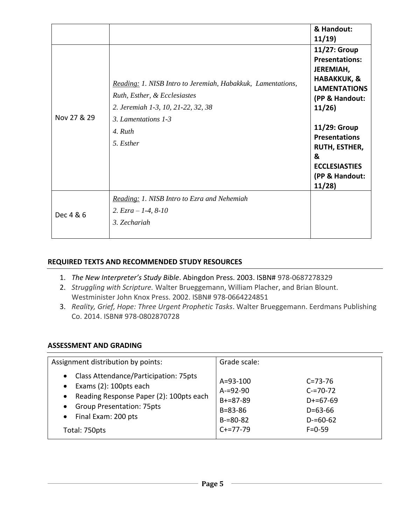|             |                                                                                                                                                                                  | & Handout:<br>11/19                                                                                                                                                                                                                             |
|-------------|----------------------------------------------------------------------------------------------------------------------------------------------------------------------------------|-------------------------------------------------------------------------------------------------------------------------------------------------------------------------------------------------------------------------------------------------|
| Nov 27 & 29 | Reading: 1. NISB Intro to Jeremiah, Habakkuk, Lamentations,<br>Ruth, Esther, & Ecclesiastes<br>2. Jeremiah 1-3, 10, 21-22, 32, 38<br>3. Lamentations 1-3<br>4. Ruth<br>5. Esther | 11/27: Group<br><b>Presentations:</b><br>JEREMIAH,<br><b>HABAKKUK, &amp;</b><br><b>LAMENTATIONS</b><br>(PP & Handout:<br>11/26<br>11/29: Group<br><b>Presentations</b><br>RUTH, ESTHER,<br>&<br><b>ECCLESIASTIES</b><br>(PP & Handout:<br>11/28 |
| Dec 4 & 6   | Reading: 1. NISB Intro to Ezra and Nehemiah<br>2. $Ezra - 1-4$ , 8-10<br>3. Zechariah                                                                                            |                                                                                                                                                                                                                                                 |

### **REQUIRED TEXTS AND RECOMMENDED STUDY RESOURCES**

- 1. *The New Interpreter's Study Bible*. Abingdon Press. 2003. ISBN# 978-0687278329
- 2. *Struggling with Scripture.* Walter Brueggemann, William Placher, and Brian Blount. Westminister John Knox Press. 2002. ISBN# 978-0664224851
- 3. *Reality, Grief, Hope: Three Urgent Prophetic Tasks*. Walter Brueggemann. Eerdmans Publishing Co. 2014. ISBN# 978-0802870728

### **ASSESSMENT AND GRADING**

| Assignment distribution by points:                                                                                                                                                                                                           | Grade scale:                                                                                                                                                                                    |
|----------------------------------------------------------------------------------------------------------------------------------------------------------------------------------------------------------------------------------------------|-------------------------------------------------------------------------------------------------------------------------------------------------------------------------------------------------|
| Class Attendance/Participation: 75pts<br>$\bullet$<br>Exams (2): 100pts each<br>$\bullet$<br>• Reading Response Paper (2): 100pts each<br><b>Group Presentation: 75pts</b><br>$\bullet$<br>Final Exam: 200 pts<br>$\bullet$<br>Total: 750pts | $A = 93 - 100$<br>$C = 73 - 76$<br>$A = 92 - 90$<br>$C = 70 - 72$<br>$B+=87-89$<br>$D+=67-69$<br>$B = 83 - 86$<br>$D = 63 - 66$<br>$B = 80 - 82$<br>$D = 60 - 62$<br>$C+=77-79$<br>$F = 0 - 59$ |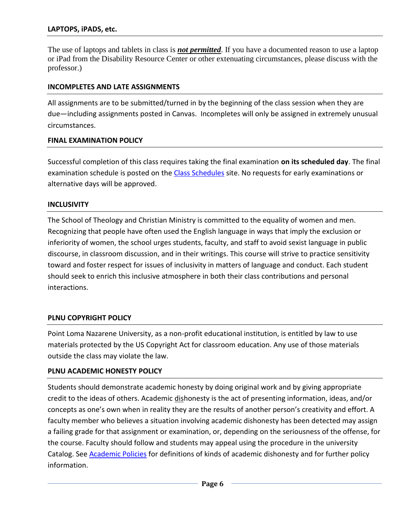#### **LAPTOPS, iPADS, etc.**

The use of laptops and tablets in class is *not permitted*. If you have a documented reason to use a laptop or iPad from the Disability Resource Center or other extenuating circumstances, please discuss with the professor.)

#### **INCOMPLETES AND LATE ASSIGNMENTS**

All assignments are to be submitted/turned in by the beginning of the class session when they are due—including assignments posted in Canvas. Incompletes will only be assigned in extremely unusual circumstances.

#### **FINAL EXAMINATION POLICY**

Successful completion of this class requires taking the final examination **on its scheduled day**. The final examination schedule is posted on the [Class Schedules](http://www.pointloma.edu/experience/academics/class-schedules) site. No requests for early examinations or alternative days will be approved.

#### **INCLUSIVITY**

The School of Theology and Christian Ministry is committed to the equality of women and men. Recognizing that people have often used the English language in ways that imply the exclusion or inferiority of women, the school urges students, faculty, and staff to avoid sexist language in public discourse, in classroom discussion, and in their writings. This course will strive to practice sensitivity toward and foster respect for issues of inclusivity in matters of language and conduct. Each student should seek to enrich this inclusive atmosphere in both their class contributions and personal interactions.

### **PLNU COPYRIGHT POLICY**

Point Loma Nazarene University, as a non-profit educational institution, is entitled by law to use materials protected by the US Copyright Act for classroom education. Any use of those materials outside the class may violate the law.

#### **PLNU ACADEMIC HONESTY POLICY**

Students should demonstrate academic honesty by doing original work and by giving appropriate credit to the ideas of others. Academic dishonesty is the act of presenting information, ideas, and/or concepts as one's own when in reality they are the results of another person's creativity and effort. A faculty member who believes a situation involving academic dishonesty has been detected may assign a failing grade for that assignment or examination, or, depending on the seriousness of the offense, for the course. Faculty should follow and students may appeal using the procedure in the university Catalog. See **Academic Policies** for definitions of kinds of academic dishonesty and for further policy information.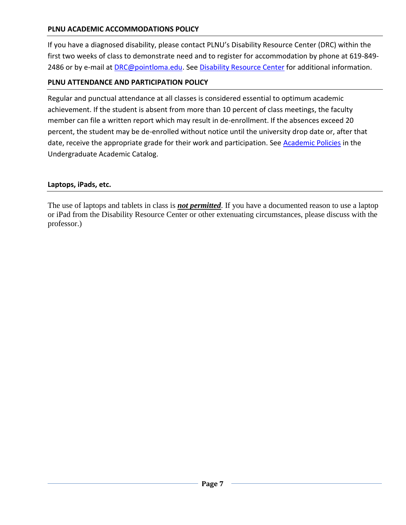### **PLNU ACADEMIC ACCOMMODATIONS POLICY**

If you have a diagnosed disability, please contact PLNU's Disability Resource Center (DRC) within the first two weeks of class to demonstrate need and to register for accommodation by phone at 619-849- 2486 or by e-mail at [DRC@pointloma.edu.](mailto:DRC@pointloma.edu) See [Disability Resource Center](http://www.pointloma.edu/experience/offices/administrative-offices/academic-advising-office/disability-resource-center) for additional information.

## **PLNU ATTENDANCE AND PARTICIPATION POLICY**

Regular and punctual attendance at all classes is considered essential to optimum academic achievement. If the student is absent from more than 10 percent of class meetings, the faculty member can file a written report which may result in de-enrollment. If the absences exceed 20 percent, the student may be de-enrolled without notice until the university drop date or, after that date, receive the appropriate grade for their work and participation. See [Academic Policies](http://catalog.pointloma.edu/content.php?catoid=18&navoid=1278) in the Undergraduate Academic Catalog.

### **Laptops, iPads, etc.**

The use of laptops and tablets in class is *not permitted*. If you have a documented reason to use a laptop or iPad from the Disability Resource Center or other extenuating circumstances, please discuss with the professor.)